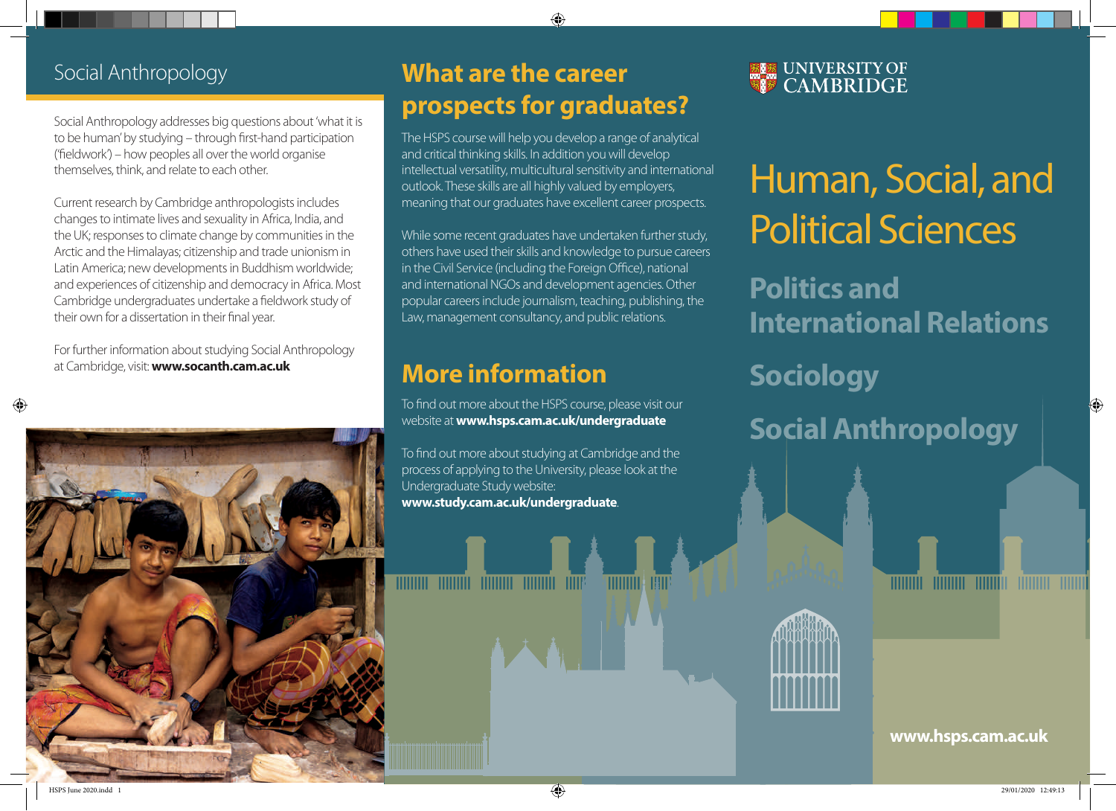### Social Anthropology

Social Anthropology addresses big questions about 'what it is to be human' by studying – through first-hand participation  $('fieldwork') - how peoples all over the world organise$ themselves, think, and relate to each other.

Current research by Cambridge anthropologists includes changes to intimate lives and sexuality in Africa, India, and the UK; responses to climate change by communities in the Arctic and the Himalayas; citizenship and trade unionism in Latin America; new developments in Buddhism worldwide; and experiences of citizenship and democracy in Africa. Most Cambridge undergraduates undertake a fieldwork study of their own for a dissertation in their final year.

For further information about studying Social Anthropology at Cambridge, visit: **www.socanth.cam.ac.uk**



## **What are the career prospects for graduates?**

The HSPS course will help you develop a range of analytical and critical thinking skills. In addition you will develop intellectual versatility, multicultural sensitivity and international outlook. These skills are all highly valued by employers, meaning that our graduates have excellent career prospects.

While some recent graduates have undertaken further study, others have used their skills and knowledge to pursue careers in the Civil Service (including the Foreign Office), national and international NGOs and development agencies. Other popular careers include journalism, teaching, publishing, the Law, management consultancy, and public relations.

## **More information**

To find out more about the HSPS course, please visit our website at **www.hsps.cam.ac.uk/undergraduate**

To find out more about studying at Cambridge and the process of applying to the University, please look at the Undergraduate Study website: **www.study.cam.ac.uk/undergraduate**.

THITI

**ELE UNIVERSITY OF** 

# Human, Social, and Political Sciences

**Politics and International Relations**

## **Sociology**

**Social Anthropology**

**www.hsps.cam.ac.uk**

**HUILDER ANDERE HUILDER HUILDER ANDER** 

 $\{\bigoplus\}$  29/01/2020 12:49:13